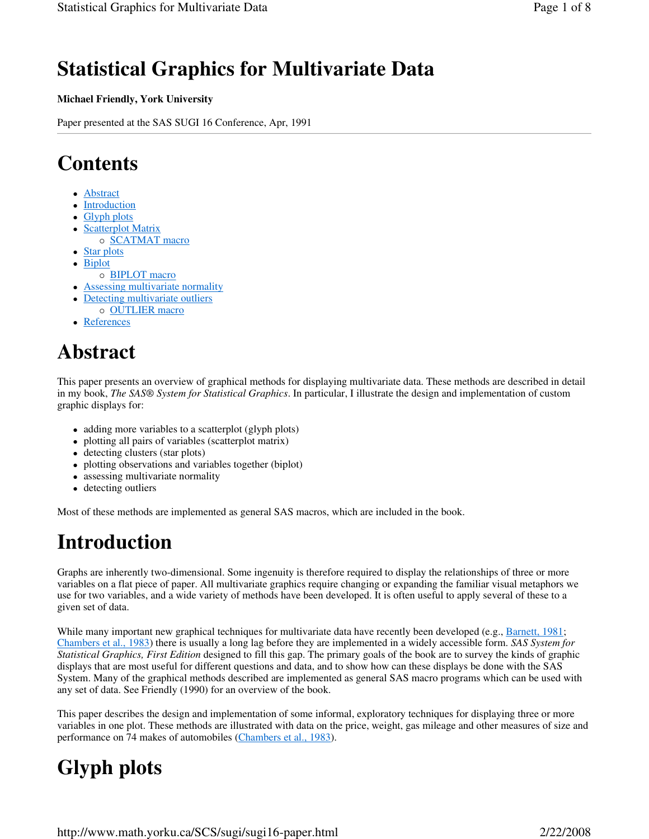## **Statistical Graphics for Multivariate Data**

#### **Michael Friendly, York University**

Paper presented at the SAS SUGI 16 Conference, Apr, 1991

## **Contents**

- Abstract
- Introduction
- Glyph plots
- Scatterplot Matrix o **SCATMAT** macro
- Star plots
- Biplot
- o **BIPLOT** macro
- Assessing multivariate normality
- Detecting multivariate outliers
- o **OUTLIER** macro
- References

## **Abstract**

This paper presents an overview of graphical methods for displaying multivariate data. These methods are described in detail in my book, *The SAS® System for Statistical Graphics*. In particular, I illustrate the design and implementation of custom graphic displays for:

- adding more variables to a scatterplot (glyph plots)
- plotting all pairs of variables (scatterplot matrix)
- detecting clusters (star plots)
- plotting observations and variables together (biplot)
- assessing multivariate normality
- detecting outliers

Most of these methods are implemented as general SAS macros, which are included in the book.

## **Introduction**

Graphs are inherently two-dimensional. Some ingenuity is therefore required to display the relationships of three or more variables on a flat piece of paper. All multivariate graphics require changing or expanding the familiar visual metaphors we use for two variables, and a wide variety of methods have been developed. It is often useful to apply several of these to a given set of data.

While many important new graphical techniques for multivariate data have recently been developed (e.g., Barnett, 1981; Chambers et al., 1983) there is usually a long lag before they are implemented in a widely accessible form. *SAS System for Statistical Graphics, First Edition* designed to fill this gap. The primary goals of the book are to survey the kinds of graphic displays that are most useful for different questions and data, and to show how can these displays be done with the SAS System. Many of the graphical methods described are implemented as general SAS macro programs which can be used with any set of data. See Friendly (1990) for an overview of the book.

This paper describes the design and implementation of some informal, exploratory techniques for displaying three or more variables in one plot. These methods are illustrated with data on the price, weight, gas mileage and other measures of size and performance on 74 makes of automobiles (Chambers et al., 1983).

# **Glyph plots**

http://www.math.yorku.ca/SCS/sugi/sugi16-paper.html 2/22/2008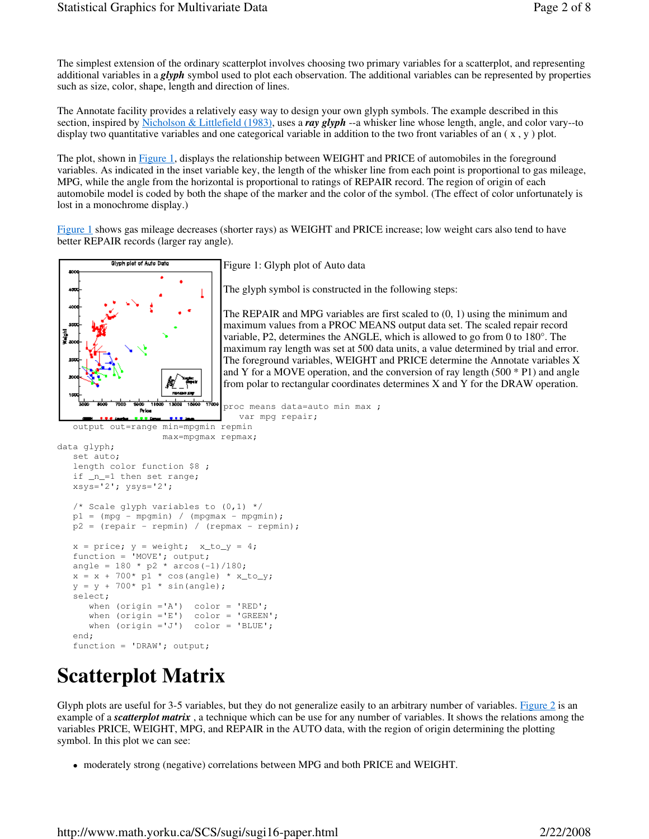The simplest extension of the ordinary scatterplot involves choosing two primary variables for a scatterplot, and representing additional variables in a *glyph* symbol used to plot each observation. The additional variables can be represented by properties such as size, color, shape, length and direction of lines.

The Annotate facility provides a relatively easy way to design your own glyph symbols. The example described in this section, inspired by Nicholson & Littlefield (1983), uses a *ray glyph* --a whisker line whose length, angle, and color vary--to display two quantitative variables and one categorical variable in addition to the two front variables of an  $(x, y)$  plot.

The plot, shown in Figure 1, displays the relationship between WEIGHT and PRICE of automobiles in the foreground variables. As indicated in the inset variable key, the length of the whisker line from each point is proportional to gas mileage, MPG, while the angle from the horizontal is proportional to ratings of REPAIR record. The region of origin of each automobile model is coded by both the shape of the marker and the color of the symbol. (The effect of color unfortunately is lost in a monochrome display.)

Figure 1 shows gas mileage decreases (shorter rays) as WEIGHT and PRICE increase; low weight cars also tend to have better REPAIR records (larger ray angle).



Figure 1: Glyph plot of Auto data

The glyph symbol is constructed in the following steps:

The REPAIR and MPG variables are first scaled to  $(0, 1)$  using the minimum and maximum values from a PROC MEANS output data set. The scaled repair record variable, P2, determines the ANGLE, which is allowed to go from 0 to 180°. The maximum ray length was set at 500 data units, a value determined by trial and error. The foreground variables, WEIGHT and PRICE determine the Annotate variables X and Y for a MOVE operation, and the conversion of ray length  $(500 * P1)$  and angle from polar to rectangular coordinates determines X and Y for the DRAW operation.

```
proc means data=auto min max ;
  var mpg repair;
```

```
 max=mpgmax repmax; 
data glyph; 
    set auto; 
    length color function $8 ; 
    if _n_=1 then set range; 
   xsys='2'; ysys='2'; /* Scale glyph variables to (0,1) */ 
   p1 = (mpq - mpgmin) / (mpgmax - mpgmin);p2 = (repair - repmin) / (repmax - repmin);x = price; y = weight; x_to_y = 4; function = 'MOVE'; output; 
   angle = 180 * p2 * arcos(-1)/180;
   x = x + 700* \text{ p1} * \cos(\text{angle}) * x \text{ to } y;y = y + 700* \text{ p1} * \sin(\text{angle}); select; 
       when (origin ='A') color = 'RED'; 
when (origin ='E') color = 'GREEN';
 when (origin ='J') color = 'BLUE'; 
    end; 
    function = 'DRAW'; output;
```
## **Scatterplot Matrix**

Glyph plots are useful for 3-5 variables, but they do not generalize easily to an arbitrary number of variables. Figure  $2$  is an example of a *scatterplot matrix* , a technique which can be use for any number of variables. It shows the relations among the variables PRICE, WEIGHT, MPG, and REPAIR in the AUTO data, with the region of origin determining the plotting symbol. In this plot we can see:

moderately strong (negative) correlations between MPG and both PRICE and WEIGHT.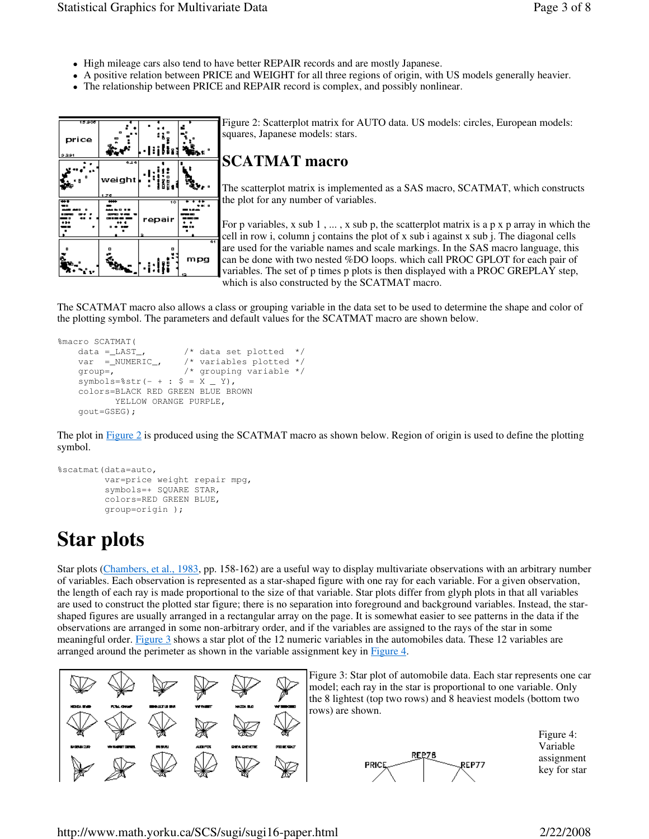- High mileage cars also tend to have better REPAIR records and are mostly Japanese.
- A positive relation between PRICE and WEIGHT for all three regions of origin, with US models generally heavier.
- The relationship between PRICE and REPAIR record is complex, and possibly nonlinear.

| বর্ততা<br>price<br>2,291 | ۰<br>B                        | ۰                         | ۰<br>n, t              |
|--------------------------|-------------------------------|---------------------------|------------------------|
| ۰<br>E B                 | 4.24<br>weight<br>1.76        | ă                         | ø                      |
| ≖                        | ₩<br>$\overline{\phantom{a}}$ | $\overline{10}$<br>repair | ĸ<br>$\overline{a}$    |
| o                        | o                             | O                         | $\overline{41}$<br>mpg |

Figure 2: Scatterplot matrix for AUTO data. US models: circles, European models: squares, Japanese models: stars.

## **SCATMAT macro**

The scatterplot matrix is implemented as a SAS macro, SCATMAT, which constructs the plot for any number of variables.

For p variables, x sub  $1, \ldots, x$  sub p, the scatterplot matrix is a p x p array in which the cell in row i, column j contains the plot of x sub i against x sub j. The diagonal cells are used for the variable names and scale markings. In the SAS macro language, this can be done with two nested %DO loops. which call PROC GPLOT for each pair of variables. The set of p times p plots is then displayed with a PROC GREPLAY step, which is also constructed by the SCATMAT macro.

The SCATMAT macro also allows a class or grouping variable in the data set to be used to determine the shape and color of the plotting symbol. The parameters and default values for the SCATMAT macro are shown below.

```
%macro SCATMAT( 
    data =_LAST_, /* data set plotted */<br>var =_NUMERIC_, /* variables plotted */
                          /* variables plotted */
     group=, /* grouping variable */ 
    symbols = %str(- + : $ = X _ Y, colors=BLACK RED GREEN BLUE BROWN 
            YELLOW ORANGE PURPLE, 
     gout=GSEG);
```
The plot in Figure 2 is produced using the SCATMAT macro as shown below. Region of origin is used to define the plotting symbol.

```
%scatmat(data=auto, 
          var=price weight repair mpg, 
          symbols=+ SQUARE STAR, 
          colors=RED GREEN BLUE, 
          group=origin );
```
# **Star plots**

Star plots (Chambers, et al., 1983, pp. 158-162) are a useful way to display multivariate observations with an arbitrary number of variables. Each observation is represented as a star-shaped figure with one ray for each variable. For a given observation, the length of each ray is made proportional to the size of that variable. Star plots differ from glyph plots in that all variables are used to construct the plotted star figure; there is no separation into foreground and background variables. Instead, the starshaped figures are usually arranged in a rectangular array on the page. It is somewhat easier to see patterns in the data if the observations are arranged in some non-arbitrary order, and if the variables are assigned to the rays of the star in some meaningful order. Figure 3 shows a star plot of the 12 numeric variables in the automobiles data. These 12 variables are arranged around the perimeter as shown in the variable assignment key in Figure 4.



http://www.math.yorku.ca/SCS/sugi/sugi16-paper.html 2/22/2008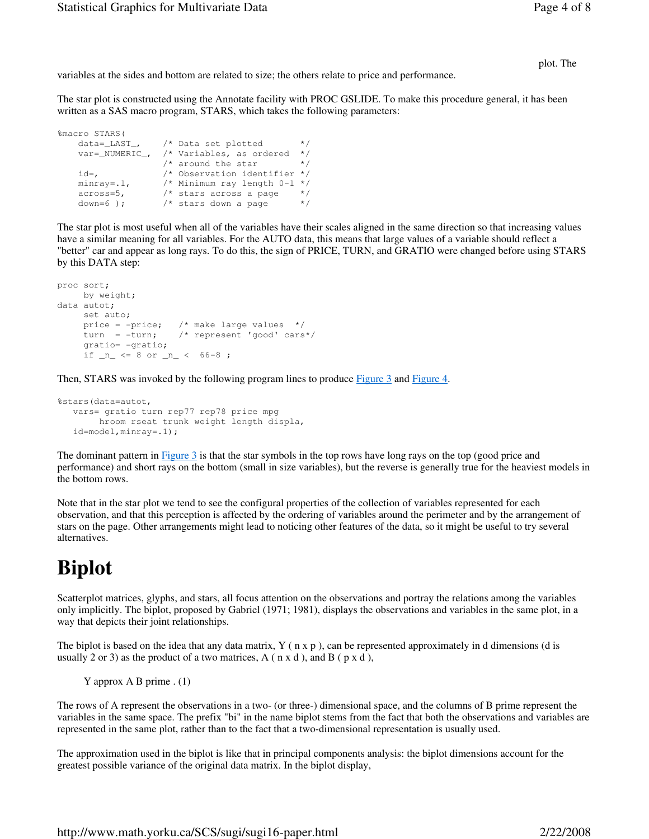plot. The

variables at the sides and bottom are related to size; the others relate to price and performance.

The star plot is constructed using the Annotate facility with PROC GSLIDE. To make this procedure general, it has been written as a SAS macro program, STARS, which takes the following parameters:

```
%macro STARS(<br>data=_LAST_,
                 4 Data set plotted */
    var=_NUMERIC_, /* Variables, as ordered */ 
\frac{1}{x} around the star \frac{1}{x} id=, /* Observation identifier */ 
 minray=.1, /* Minimum ray length 0-1 */ 
 across=5, /* stars across a page */ 
down=6 ); \frac{1}{2} \frac{1}{2} \frac{1}{2} stars down a page \frac{1}{2}
```
The star plot is most useful when all of the variables have their scales aligned in the same direction so that increasing values have a similar meaning for all variables. For the AUTO data, this means that large values of a variable should reflect a "better" car and appear as long rays. To do this, the sign of PRICE, TURN, and GRATIO were changed before using STARS by this DATA step:

```
proc sort; 
   by weight;
data autot; 
    set auto; 
 price = -price; /* make large values */ 
 turn = -turn; /* represent 'good' cars*/ 
     gratio= -gratio; 
    if _n <= 8 or _n < 66-8;
```
Then, STARS was invoked by the following program lines to produce Figure 3 and Figure 4.

```
%stars(data=autot, 
   vars= gratio turn rep77 rep78 price mpg 
        hroom rseat trunk weight length displa, 
   id=model,minray=.1);
```
The dominant pattern in Figure 3 is that the star symbols in the top rows have long rays on the top (good price and performance) and short rays on the bottom (small in size variables), but the reverse is generally true for the heaviest models in the bottom rows.

Note that in the star plot we tend to see the configural properties of the collection of variables represented for each observation, and that this perception is affected by the ordering of variables around the perimeter and by the arrangement of stars on the page. Other arrangements might lead to noticing other features of the data, so it might be useful to try several alternatives.

## **Biplot**

Scatterplot matrices, glyphs, and stars, all focus attention on the observations and portray the relations among the variables only implicitly. The biplot, proposed by Gabriel (1971; 1981), displays the observations and variables in the same plot, in a way that depicts their joint relationships.

The biplot is based on the idea that any data matrix,  $Y(n \times p)$ , can be represented approximately in d dimensions (d is usually 2 or 3) as the product of a two matrices,  $A$  ( $n \times d$ ), and  $B$  ( $p \times d$ ),

Y approx A B prime . (1)

The rows of A represent the observations in a two- (or three-) dimensional space, and the columns of B prime represent the variables in the same space. The prefix "bi" in the name biplot stems from the fact that both the observations and variables are represented in the same plot, rather than to the fact that a two-dimensional representation is usually used.

The approximation used in the biplot is like that in principal components analysis: the biplot dimensions account for the greatest possible variance of the original data matrix. In the biplot display,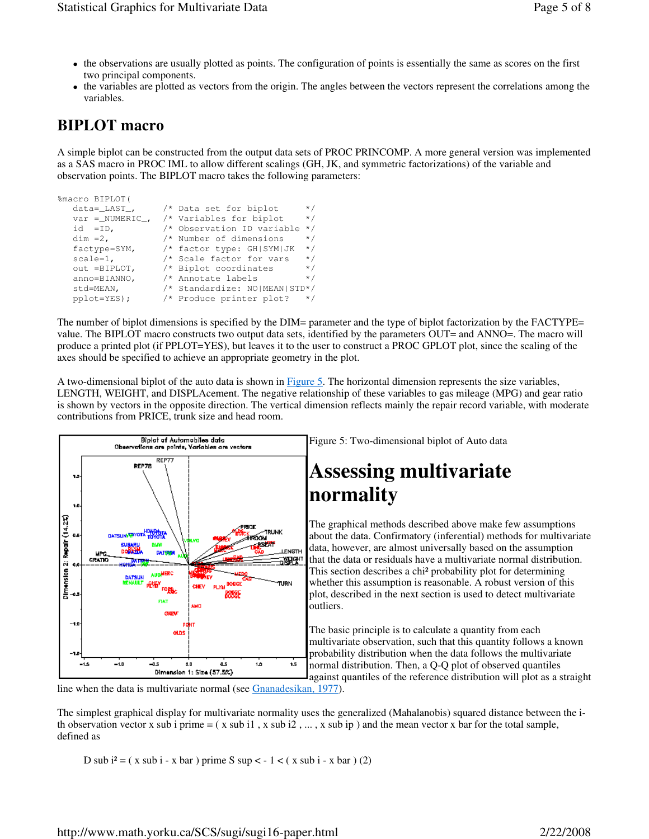- the observations are usually plotted as points. The configuration of points is essentially the same as scores on the first two principal components.
- the variables are plotted as vectors from the origin. The angles between the vectors represent the correlations among the variables.

## **BIPLOT macro**

A simple biplot can be constructed from the output data sets of PROC PRINCOMP. A more general version was implemented as a SAS macro in PROC IML to allow different scalings (GH, JK, and symmetric factorizations) of the variable and observation points. The BIPLOT macro takes the following parameters:

| %macro BIPLOT(             |                                           |           |
|----------------------------|-------------------------------------------|-----------|
| $data =$ $\_\text{LAST}$ , | /* Data set for biplot                    | $\star$ / |
|                            | var = NUMERIC , $/*$ Variables for biplot | $\star$ / |
| id $=ID$ ,                 | /* Observation ID variable                | $\star$ / |
| $dim = 2$ ,                | /* Number of dimensions                   | $\star/$  |
| factype=SYM,               | /* factor type: GH SYM JK                 | $\star$ / |
| $scale=1$ ,                | /* Scale factor for vars                  | $\star$ / |
| out =BIPLOT,               | /* Biplot coordinates                     | $\star$ / |
| anno=BIANNO,               | /* Annotate labels                        | $\star$ / |
| std=MEAN,                  | /* Standardize: NO MEAN STD*/             |           |
| $pplot = YES$ );           | /* Produce printer plot?                  | $\star$ / |

The number of biplot dimensions is specified by the DIM= parameter and the type of biplot factorization by the FACTYPE= value. The BIPLOT macro constructs two output data sets, identified by the parameters OUT= and ANNO=. The macro will produce a printed plot (if PPLOT=YES), but leaves it to the user to construct a PROC GPLOT plot, since the scaling of the axes should be specified to achieve an appropriate geometry in the plot.

A two-dimensional biplot of the auto data is shown in Figure 5. The horizontal dimension represents the size variables, LENGTH, WEIGHT, and DISPLAcement. The negative relationship of these variables to gas mileage (MPG) and gear ratio is shown by vectors in the opposite direction. The vertical dimension reflects mainly the repair record variable, with moderate contributions from PRICE, trunk size and head room.



Figure 5: Two-dimensional biplot of Auto data

# **Assessing multivariate**

The graphical methods described above make few assumptions about the data. Confirmatory (inferential) methods for multivariate data, however, are almost universally based on the assumption that the data or residuals have a multivariate normal distribution. This section describes a chi² probability plot for determining whether this assumption is reasonable. A robust version of this plot, described in the next section is used to detect multivariate

The basic principle is to calculate a quantity from each multivariate observation, such that this quantity follows a known probability distribution when the data follows the multivariate normal distribution. Then, a Q-Q plot of observed quantiles against quantiles of the reference distribution will plot as a straight

line when the data is multivariate normal (see Gnanadesikan, 1977).

The simplest graphical display for multivariate normality uses the generalized (Mahalanobis) squared distance between the ith observation vector x sub i prime  $=(x \text{ sub } i1, x \text{ sub } i2, ..., x \text{ sub } ip)$  and the mean vector x bar for the total sample, defined as

D sub  $i^2 = (x \text{ sub } i - x \text{ bar })$  prime S sup  $\lt -1 \lt (x \text{ sub } i - x \text{ bar } ) (2)$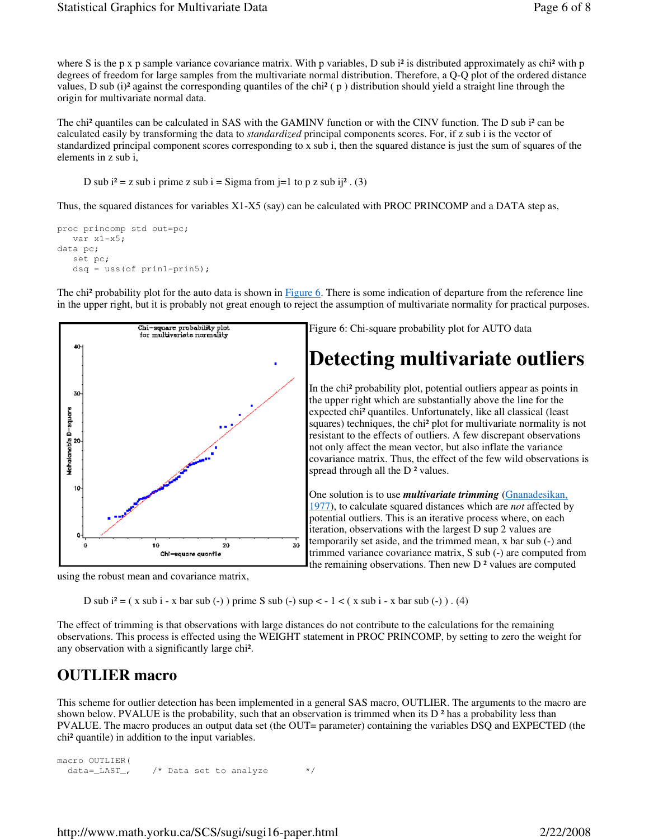where S is the p x p sample variance covariance matrix. With p variables, D sub  $i^2$  is distributed approximately as chi<sup>2</sup> with p degrees of freedom for large samples from the multivariate normal distribution. Therefore, a Q-Q plot of the ordered distance values, D sub (i)<sup>2</sup> against the corresponding quantiles of the chi<sup>2</sup> ( $p$ ) distribution should yield a straight line through the origin for multivariate normal data.

The chi² quantiles can be calculated in SAS with the GAMINV function or with the CINV function. The D sub i² can be calculated easily by transforming the data to *standardized* principal components scores. For, if z sub i is the vector of standardized principal component scores corresponding to x sub i, then the squared distance is just the sum of squares of the elements in z sub i,

D sub  $i^2 = z$  sub i prime z sub  $i =$  Sigma from  $i = 1$  to p z sub  $i =i^2$ . (3)

Thus, the squared distances for variables X1-X5 (say) can be calculated with PROC PRINCOMP and a DATA step as,

```
proc princomp std out=pc; 
    var x1-x5; 
data pc; 
    set pc; 
    dsq = uss(of prin1-prin5);
```
The chi<sup>2</sup> probability plot for the auto data is shown in Figure 6. There is some indication of departure from the reference line in the upper right, but it is probably not great enough to reject the assumption of multivariate normality for practical purposes.







D sub  $i^2 = (x \text{ sub } i - x \text{ bar } \text{ sub } (-))$  prime S sub (-) sup  $\lt -1 \lt (x \text{ sub } i - x \text{ bar } \text{ sub } (-))$ . (4)

The effect of trimming is that observations with large distances do not contribute to the calculations for the remaining observations. This process is effected using the WEIGHT statement in PROC PRINCOMP, by setting to zero the weight for any observation with a significantly large chi².

### **OUTLIER macro**

This scheme for outlier detection has been implemented in a general SAS macro, OUTLIER. The arguments to the macro are shown below. PVALUE is the probability, such that an observation is trimmed when its  $D<sup>2</sup>$  has a probability less than PVALUE. The macro produces an output data set (the OUT= parameter) containing the variables DSQ and EXPECTED (the chi² quantile) in addition to the input variables.

macro OUTLIER( data=\_LAST\_, /\* Data set to analyze \*/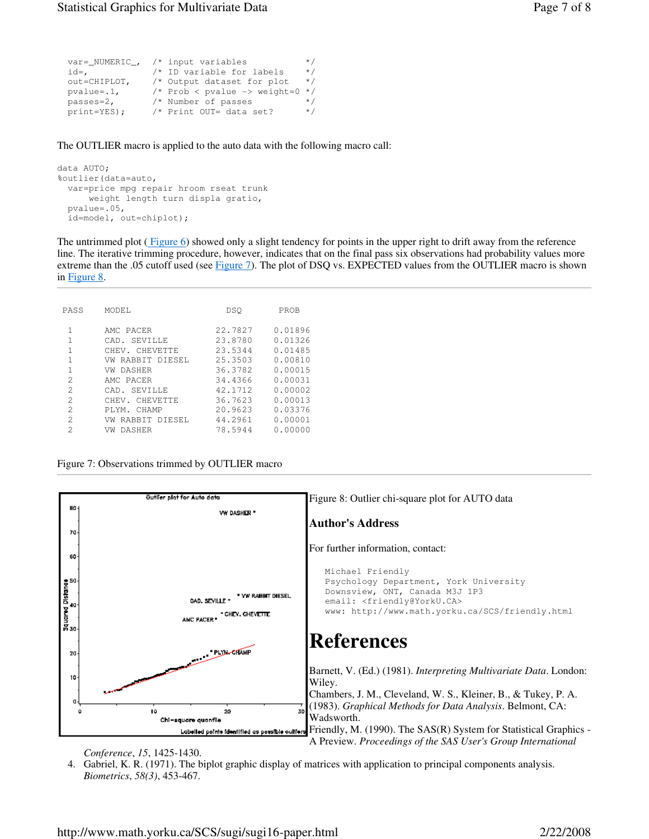| $var =$ NUMERIC, | $/*$ input variables           | $\star$ / |
|------------------|--------------------------------|-----------|
| id=,             | /* ID variable for labels      | $\star$ / |
| out=CHIPLOT,     | /* Output dataset for plot     | $\star$ / |
| $pvalue = .1$ ,  | $/*$ Prob < pvalue -> weight=0 | $\star$ / |
| $passes=2$ ,     | /* Number of passes            | $\star$ / |
| $print = YES$ ;  | /* Print OUT= data set?        | $\star$ / |

The OUTLIER macro is applied to the auto data with the following macro call:

```
data AUTO; 
%outlier(data=auto, 
  var=price mpg repair hroom rseat trunk 
       weight length turn displa gratio, 
  pvalue=.05, 
   id=model, out=chiplot);
```
The untrimmed plot  $(Figure 6)$  showed only a slight tendency for points in the upper right to drift away from the reference line. The iterative trimming procedure, however, indicates that on the final pass six observations had probability values more extreme than the .05 cutoff used (see Figure 7). The plot of DSQ vs. EXPECTED values from the OUTLIER macro is shown in Figure 8.

| PASS           | MODEL.              | DSO     | PROB    |
|----------------|---------------------|---------|---------|
| 1              | AMC PACER           | 22.7827 | 0.01896 |
| 1              | CAD. SEVILLE        | 23.8780 | 0.01326 |
| 1              | CHEV. CHEVETTE      | 23.5344 | 0.01485 |
| 1              | RABBIT DIESEL<br>VW | 25.3503 | 0.00810 |
| 1              | VW DASHER           | 36.3782 | 0.00015 |
| $\mathcal{D}$  | AMC PACER           | 34.4366 | 0.00031 |
| 2              | CAD. SEVILLE        | 42.1712 | 0.00002 |
| $\mathcal{D}$  | CHEV. CHEVETTE      | 36.7623 | 0.00013 |
| 2              | PLYM. CHAMP         | 20.9623 | 0.03376 |
| 2              | RABBIT DIESEL<br>VW | 44.2961 | 0.00001 |
| $\mathfrak{D}$ | DASHER<br>VW        | 78.5944 | 0.00000 |

Figure 7: Observations trimmed by OUTLIER macro



*Conference*, *15*, 1425-1430.

4. Gabriel, K. R. (1971). The biplot graphic display of matrices with application to principal components analysis. *Biometrics*, *58(3)*, 453-467.